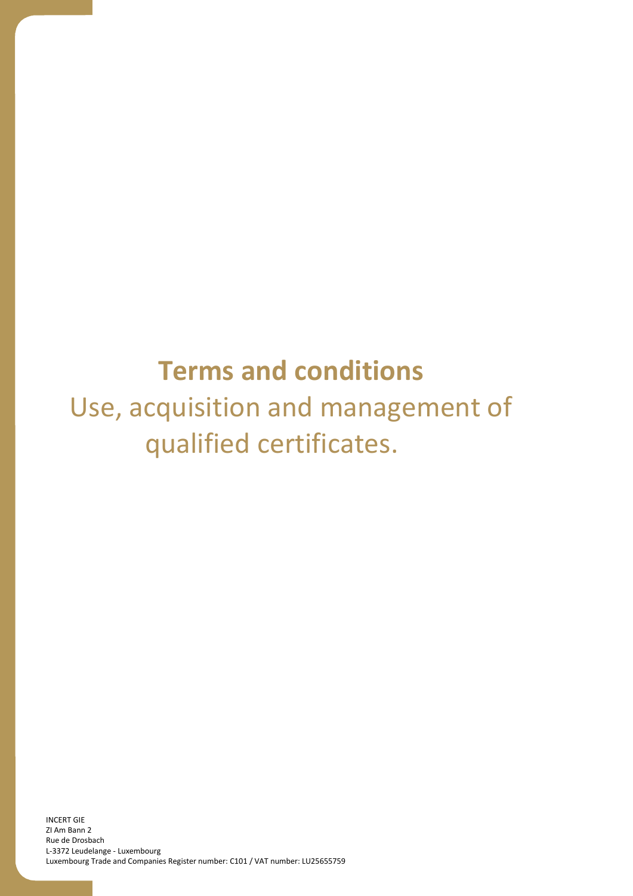# **Terms and conditions** Use, acquisition and management of qualified certificates.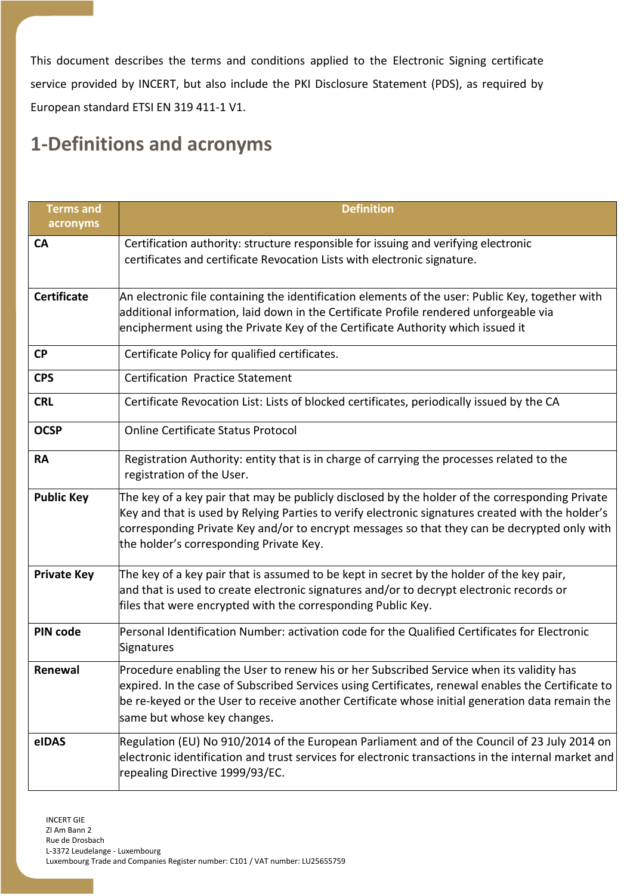This document describes the terms and conditions applied to the Electronic Signing certificate service provided by INCERT, but also include the PKI Disclosure Statement (PDS), as required by European standard ETSI EN 319 411-1 V1.

## **1-Definitions and acronyms**

| <b>Terms and</b><br>acronyms | <b>Definition</b>                                                                                                                                                                                                                                                                                                                               |  |
|------------------------------|-------------------------------------------------------------------------------------------------------------------------------------------------------------------------------------------------------------------------------------------------------------------------------------------------------------------------------------------------|--|
| CA                           | Certification authority: structure responsible for issuing and verifying electronic<br>certificates and certificate Revocation Lists with electronic signature.                                                                                                                                                                                 |  |
| <b>Certificate</b>           | An electronic file containing the identification elements of the user: Public Key, together with<br>additional information, laid down in the Certificate Profile rendered unforgeable via<br>encipherment using the Private Key of the Certificate Authority which issued it                                                                    |  |
| <b>CP</b>                    | Certificate Policy for qualified certificates.                                                                                                                                                                                                                                                                                                  |  |
| <b>CPS</b>                   | <b>Certification Practice Statement</b>                                                                                                                                                                                                                                                                                                         |  |
| <b>CRL</b>                   | Certificate Revocation List: Lists of blocked certificates, periodically issued by the CA                                                                                                                                                                                                                                                       |  |
| <b>OCSP</b>                  | <b>Online Certificate Status Protocol</b>                                                                                                                                                                                                                                                                                                       |  |
| <b>RA</b>                    | Registration Authority: entity that is in charge of carrying the processes related to the<br>registration of the User.                                                                                                                                                                                                                          |  |
| <b>Public Key</b>            | The key of a key pair that may be publicly disclosed by the holder of the corresponding Private<br>Key and that is used by Relying Parties to verify electronic signatures created with the holder's<br>corresponding Private Key and/or to encrypt messages so that they can be decrypted only with<br>the holder's corresponding Private Key. |  |
| <b>Private Key</b>           | The key of a key pair that is assumed to be kept in secret by the holder of the key pair,<br>and that is used to create electronic signatures and/or to decrypt electronic records or<br>files that were encrypted with the corresponding Public Key.                                                                                           |  |
| PIN code                     | Personal Identification Number: activation code for the Qualified Certificates for Electronic<br>Signatures                                                                                                                                                                                                                                     |  |
| Renewal                      | Procedure enabling the User to renew his or her Subscribed Service when its validity has<br>expired. In the case of Subscribed Services using Certificates, renewal enables the Certificate to<br>be re-keyed or the User to receive another Certificate whose initial generation data remain the<br>same but whose key changes.                |  |
| eIDAS                        | Regulation (EU) No 910/2014 of the European Parliament and of the Council of 23 July 2014 on<br>electronic identification and trust services for electronic transactions in the internal market and<br>repealing Directive 1999/93/EC.                                                                                                          |  |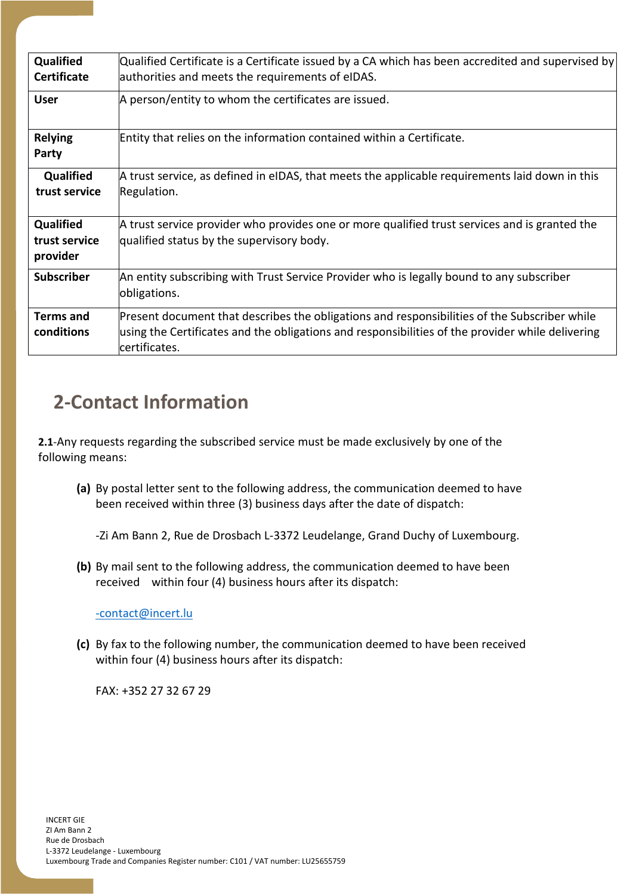| Qualified          | Qualified Certificate is a Certificate issued by a CA which has been accredited and supervised by |  |
|--------------------|---------------------------------------------------------------------------------------------------|--|
| <b>Certificate</b> | authorities and meets the requirements of eIDAS.                                                  |  |
| <b>User</b>        | A person/entity to whom the certificates are issued.                                              |  |
|                    |                                                                                                   |  |
| <b>Relying</b>     | Entity that relies on the information contained within a Certificate.                             |  |
| Party              |                                                                                                   |  |
| <b>Qualified</b>   | A trust service, as defined in eIDAS, that meets the applicable requirements laid down in this    |  |
| trust service      | Regulation.                                                                                       |  |
|                    |                                                                                                   |  |
| Qualified          | A trust service provider who provides one or more qualified trust services and is granted the     |  |
| trust service      | qualified status by the supervisory body.                                                         |  |
| provider           |                                                                                                   |  |
| <b>Subscriber</b>  | An entity subscribing with Trust Service Provider who is legally bound to any subscriber          |  |
|                    | obligations.                                                                                      |  |
| <b>Terms and</b>   | Present document that describes the obligations and responsibilities of the Subscriber while      |  |
| conditions         | using the Certificates and the obligations and responsibilities of the provider while delivering  |  |
|                    | certificates.                                                                                     |  |

## **2-Contact Information**

**2.1**-Any requests regarding the subscribed service must be made exclusively by one of the following means:

**(a)** By postal letter sent to the following address, the communication deemed to have been received within three (3) business days after the date of dispatch:

-Zi Am Bann 2, Rue de Drosbach L-3372 Leudelange, Grand Duchy of Luxembourg.

**(b)** By mail sent to the following address, the communication deemed to have been received within four (4) business hours after its dispatch:

[-contact@incert.lu](mailto:-contact@incert.lu)

**(c)** By fax to the following number, the communication deemed to have been received within four (4) business hours after its dispatch:

FAX: +352 27 32 67 29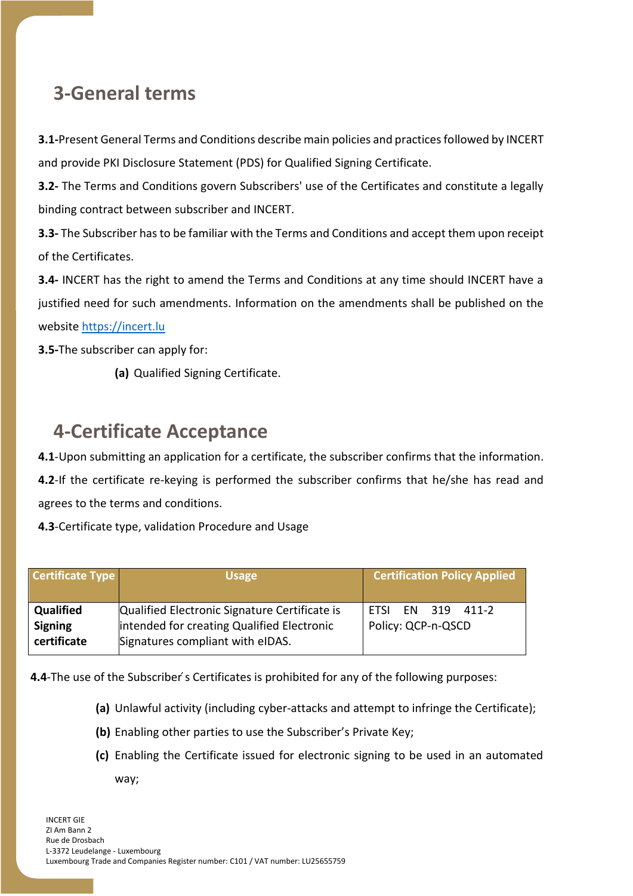## **3-General terms**

**3.1-**Present General Terms and Conditions describe main policies and practices followed by INCERT and provide PKI Disclosure Statement (PDS) for Qualified Signing Certificate.

**3.2-** The Terms and Conditions govern Subscribers' use of the Certificates and constitute a legally binding contract between subscriber and INCERT.

**3.3-** The Subscriber has to be familiar with the Terms and Conditions and accept them upon receipt of the Certificates.

**3.4-** INCERT has the right to amend the Terms and Conditions at any time should INCERT have a justified need for such amendments. Information on the amendments shall be published on the website [https://incert.lu](https://incert.lu/)

**3.5-**The subscriber can apply for:

**(a)** Qualified Signing Certificate.

## **4-Certificate Acceptance**

**4.1**-Upon submitting an application for a certificate, the subscriber confirms that the information. **4.2**-If the certificate re-keying is performed the subscriber confirms that he/she has read and

agrees to the terms and conditions.

**4.3**-Certificate type, validation Procedure and Usage

| <b>Certificate Type</b> | <b>Usage</b>                                  | <b>Certification Policy Applied</b> |
|-------------------------|-----------------------------------------------|-------------------------------------|
| <b>Qualified</b>        | Qualified Electronic Signature Certificate is | FN 319 411-2                        |
| <b>Signing</b>          | intended for creating Qualified Electronic    | <b>FTSI</b>                         |
| certificate             | Signatures compliant with eIDAS.              | Policy: QCP-n-QSCD                  |

**4.4**-The use of the Subscriber's Certificates is prohibited for any of the following purposes:

- **(a)** Unlawful activity (including cyber-attacks and attempt to infringe the Certificate);
- **(b)** Enabling other parties to use the Subscriber's Private Key;
- **(c)** Enabling the Certificate issued for electronic signing to be used in an automated way;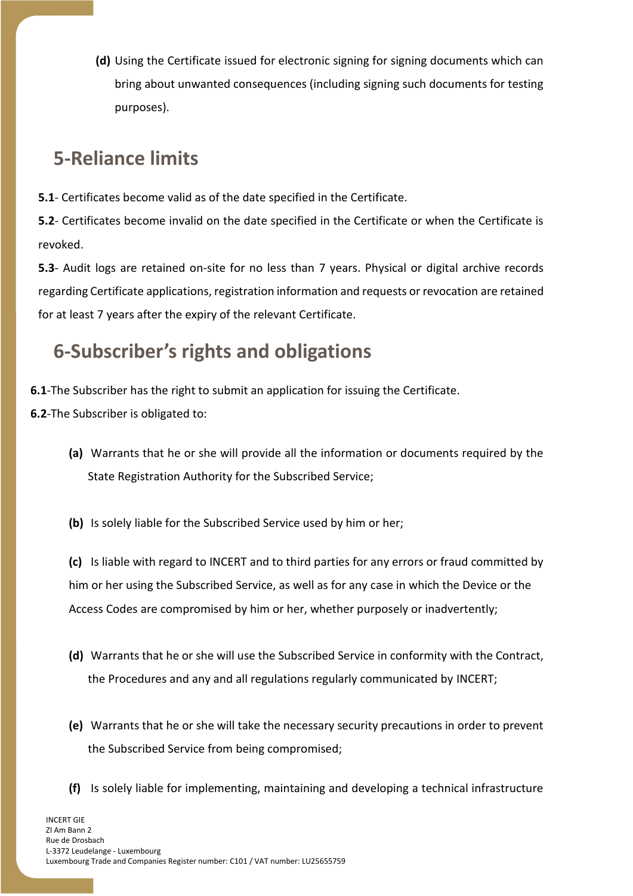**(d)** Using the Certificate issued for electronic signing for signing documents which can bring about unwanted consequences (including signing such documents for testing purposes).

## **5-Reliance limits**

**5.1**- Certificates become valid as of the date specified in the Certificate.

**5.2**- Certificates become invalid on the date specified in the Certificate or when the Certificate is revoked.

**5.3**- Audit logs are retained on-site for no less than 7 years. Physical or digital archive records regarding Certificate applications, registration information and requests or revocation are retained for at least 7 years after the expiry of the relevant Certificate.

## **6-Subscriber's rights and obligations**

**6.1**-The Subscriber has the right to submit an application for issuing the Certificate.

**6.2**-The Subscriber is obligated to:

- **(a)** Warrants that he or she will provide all the information or documents required by the State Registration Authority for the Subscribed Service;
- **(b)** Is solely liable for the Subscribed Service used by him or her;

**(c)** Is liable with regard to INCERT and to third parties for any errors or fraud committed by him or her using the Subscribed Service, as well as for any case in which the Device or the Access Codes are compromised by him or her, whether purposely or inadvertently;

- **(d)** Warrants that he or she will use the Subscribed Service in conformity with the Contract, the Procedures and any and all regulations regularly communicated by INCERT;
- **(e)** Warrants that he or she will take the necessary security precautions in order to prevent the Subscribed Service from being compromised;
- **(f)** Is solely liable for implementing, maintaining and developing a technical infrastructure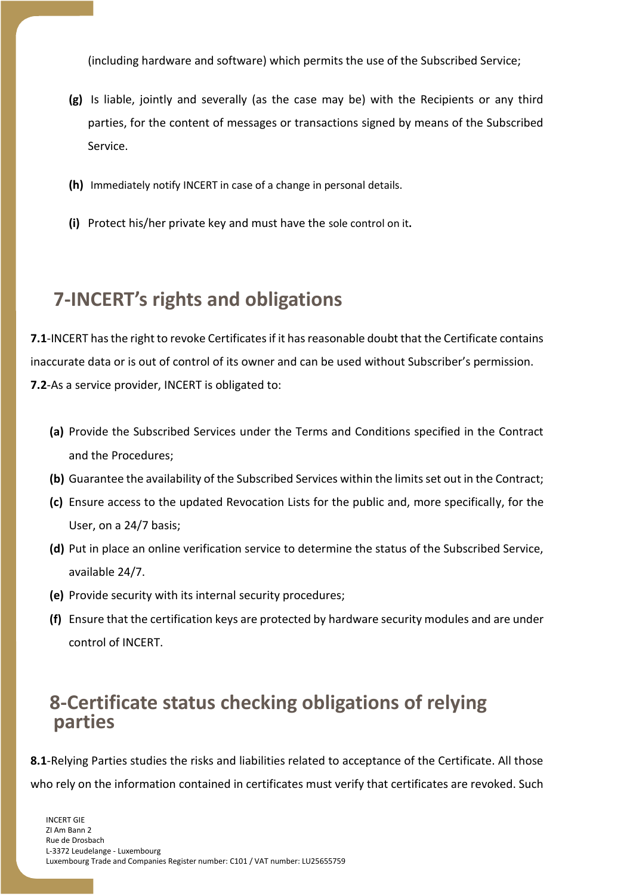(including hardware and software) which permits the use of the Subscribed Service;

- **(g)** Is liable, jointly and severally (as the case may be) with the Recipients or any third parties, for the content of messages or transactions signed by means of the Subscribed Service.
- **(h)** Immediately notify INCERT in case of a change in personal details.
- **(i)** Protect his/her private key and must have the sole control on it**.**

## **7-INCERT's rights and obligations**

**7.1**-INCERT has the right to revoke Certificates if it has reasonable doubt that the Certificate contains inaccurate data or is out of control of its owner and can be used without Subscriber's permission. **7.2**-As a service provider, INCERT is obligated to:

- **(a)** Provide the Subscribed Services under the Terms and Conditions specified in the Contract and the Procedures;
- **(b)** Guarantee the availability of the Subscribed Services within the limits set out in the Contract;
- **(c)** Ensure access to the updated Revocation Lists for the public and, more specifically, for the User, on a 24/7 basis;
- **(d)** Put in place an online verification service to determine the status of the Subscribed Service, available 24/7.
- **(e)** Provide security with its internal security procedures;
- **(f)** Ensure that the certification keys are protected by hardware security modules and are under control of INCERT.

### **8-Certificate status checking obligations of relying parties**

**8.1**-Relying Parties studies the risks and liabilities related to acceptance of the Certificate. All those who rely on the information contained in certificates must verify that certificates are revoked. Such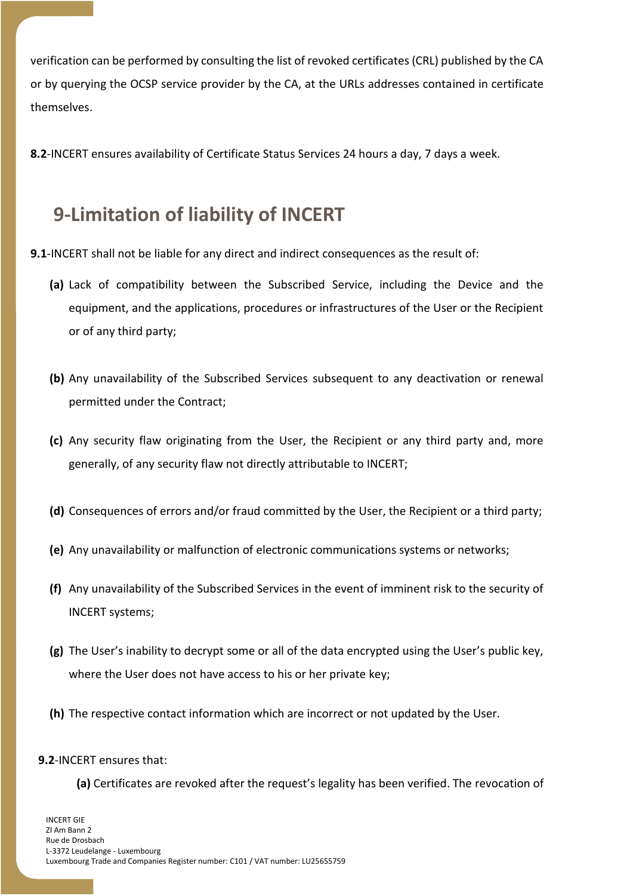verification can be performed by consulting the list of revoked certificates (CRL) published by the CA or by querying the OCSP service provider by the CA, at the URLs addresses contained in certificate themselves.

**8.2**-INCERT ensures availability of Certificate Status Services 24 hours a day, 7 days a week.

## **9-Limitation of liability of INCERT**

- **9.1**-INCERT shall not be liable for any direct and indirect consequences as the result of:
	- **(a)** Lack of compatibility between the Subscribed Service, including the Device and the equipment, and the applications, procedures or infrastructures of the User or the Recipient or of any third party;
	- **(b)** Any unavailability of the Subscribed Services subsequent to any deactivation or renewal permitted under the Contract;
	- **(c)** Any security flaw originating from the User, the Recipient or any third party and, more generally, of any security flaw not directly attributable to INCERT;
	- **(d)** Consequences of errors and/or fraud committed by the User, the Recipient or a third party;
	- **(e)** Any unavailability or malfunction of electronic communications systems or networks;
	- **(f)** Any unavailability of the Subscribed Services in the event of imminent risk to the security of INCERT systems;
	- **(g)** The User's inability to decrypt some or all of the data encrypted using the User's public key, where the User does not have access to his or her private key;
	- **(h)** The respective contact information which are incorrect or not updated by the User.

#### **9.2**-INCERT ensures that:

**(a)** Certificates are revoked after the request's legality has been verified. The revocation of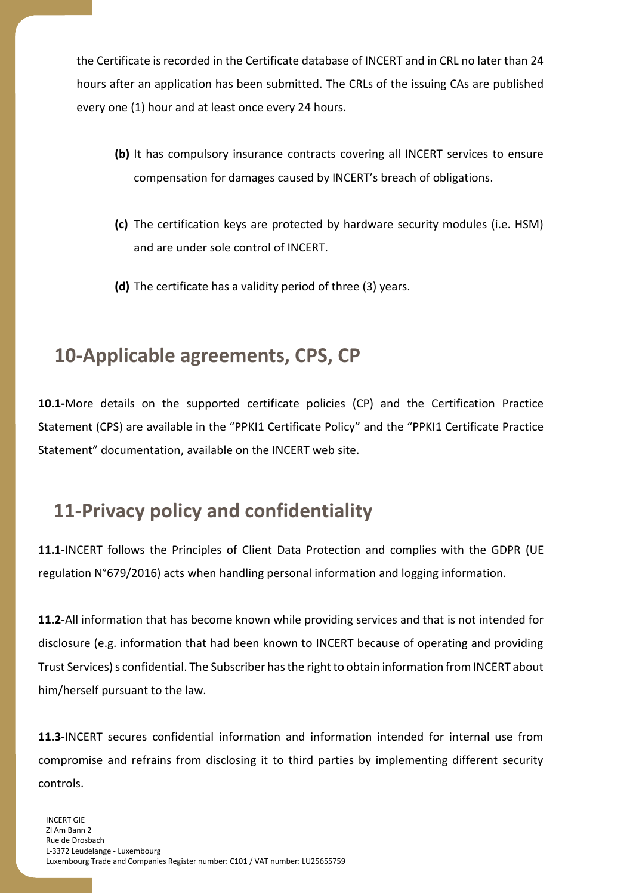the Certificate is recorded in the Certificate database of INCERT and in CRL no later than 24 hours after an application has been submitted. The CRLs of the issuing CAs are published every one (1) hour and at least once every 24 hours.

- **(b)** It has compulsory insurance contracts covering all INCERT services to ensure compensation for damages caused by INCERT's breach of obligations.
- **(c)** The certification keys are protected by hardware security modules (i.e. HSM) and are under sole control of INCERT.
- **(d)** The certificate has a validity period of three (3) years.

### **10-Applicable agreements, CPS, CP**

**10.1-**More details on the supported certificate policies (CP) and the Certification Practice Statement (CPS) are available in the "PPKI1 Certificate Policy" and the "PPKI1 Certificate Practice Statement" documentation, available on the INCERT web site.

## **11-Privacy policy and confidentiality**

**11.1**-INCERT follows the Principles of Client Data Protection and complies with the GDPR (UE regulation N°679/2016) acts when handling personal information and logging information.

**11.2**-All information that has become known while providing services and that is not intended for disclosure (e.g. information that had been known to INCERT because of operating and providing Trust Services) s confidential. The Subscriber has the right to obtain information from INCERT about him/herself pursuant to the law.

**11.3**-INCERT secures confidential information and information intended for internal use from compromise and refrains from disclosing it to third parties by implementing different security controls.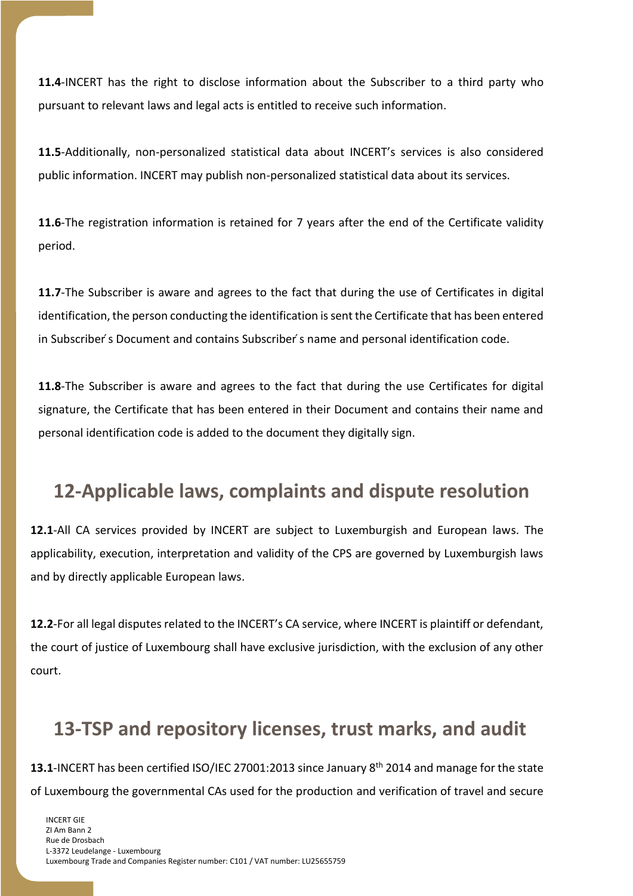**11.4**-INCERT has the right to disclose information about the Subscriber to a third party who pursuant to relevant laws and legal acts is entitled to receive such information.

**11.5**-Additionally, non-personalized statistical data about INCERT's services is also considered public information. INCERT may publish non-personalized statistical data about its services.

**11.6**-The registration information is retained for 7 years after the end of the Certificate validity period.

**11.7**-The Subscriber is aware and agrees to the fact that during the use of Certificates in digital identification, the person conducting the identification is sent the Certificate that has been entered in Subscriber ́s Document and contains Subscriber ́s name and personal identification code.

**11.8**-The Subscriber is aware and agrees to the fact that during the use Certificates for digital signature, the Certificate that has been entered in their Document and contains their name and personal identification code is added to the document they digitally sign.

## **12-Applicable laws, complaints and dispute resolution**

**12.1**-All CA services provided by INCERT are subject to Luxemburgish and European laws. The applicability, execution, interpretation and validity of the CPS are governed by Luxemburgish laws and by directly applicable European laws.

**12.2**-For all legal disputes related to the INCERT's CA service, where INCERT is plaintiff or defendant, the court of justice of Luxembourg shall have exclusive jurisdiction, with the exclusion of any other court.

## **13-TSP and repository licenses, trust marks, and audit**

**13.1**-INCERT has been certified ISO/IEC 27001:2013 since January 8th 2014 and manage for the state of Luxembourg the governmental CAs used for the production and verification of travel and secure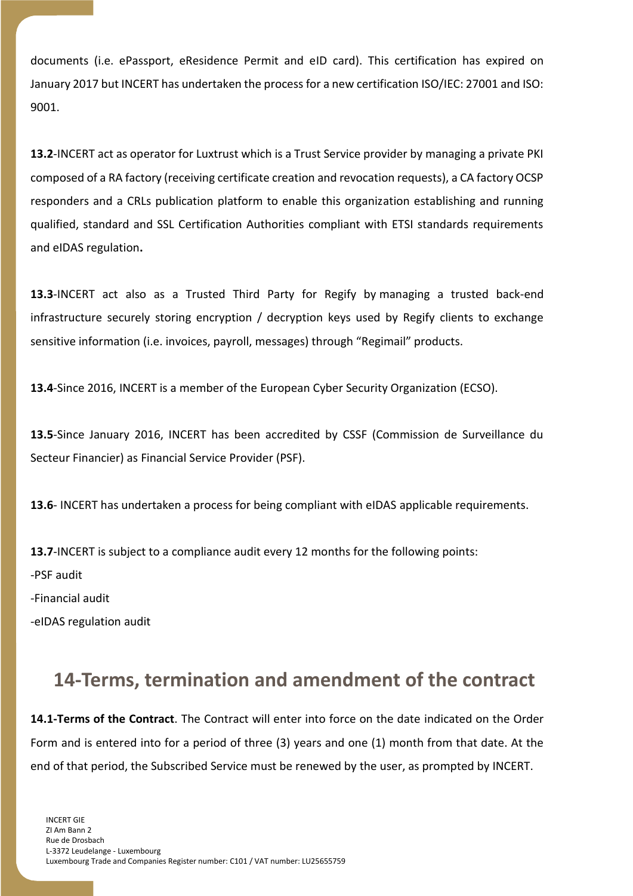documents (i.e. ePassport, eResidence Permit and eID card). This certification has expired on January 2017 but INCERT has undertaken the process for a new certification ISO/IEC: 27001 and ISO: 9001.

**13.2**-INCERT act as operator for Luxtrust which is a Trust Service provider by managing a private PKI composed of a RA factory (receiving certificate creation and revocation requests), a CA factory OCSP responders and a CRLs publication platform to enable this organization establishing and running qualified, standard and SSL Certification Authorities compliant with ETSI standards requirements and eIDAS regulation**.**

**13.3**-INCERT act also as a Trusted Third Party for Regify by managing a trusted back-end infrastructure securely storing encryption / decryption keys used by Regify clients to exchange sensitive information (i.e. invoices, payroll, messages) through "Regimail" products.

**13.4**-Since 2016, INCERT is a member of the European Cyber Security Organization (ECSO).

**13.5**-Since January 2016, INCERT has been accredited by CSSF (Commission de Surveillance du Secteur Financier) as Financial Service Provider (PSF).

**13.6**- INCERT has undertaken a process for being compliant with eIDAS applicable requirements.

**13.7**-INCERT is subject to a compliance audit every 12 months for the following points:

-PSF audit

-Financial audit

-eIDAS regulation audit

### **14-Terms, termination and amendment of the contract**

**14.1-Terms of the Contract**. The Contract will enter into force on the date indicated on the Order Form and is entered into for a period of three (3) years and one (1) month from that date. At the end of that period, the Subscribed Service must be renewed by the user, as prompted by INCERT.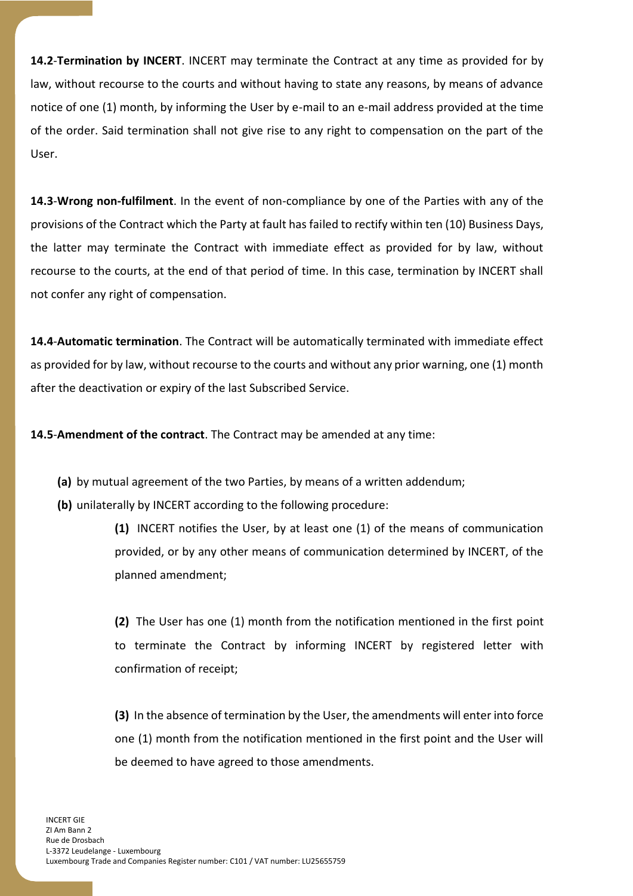**14.2**-**Termination by INCERT**. INCERT may terminate the Contract at any time as provided for by law, without recourse to the courts and without having to state any reasons, by means of advance notice of one (1) month, by informing the User by e-mail to an e-mail address provided at the time of the order. Said termination shall not give rise to any right to compensation on the part of the User.

**14.3**-**Wrong non-fulfilment**. In the event of non-compliance by one of the Parties with any of the provisions of the Contract which the Party at fault has failed to rectify within ten (10) Business Days, the latter may terminate the Contract with immediate effect as provided for by law, without recourse to the courts, at the end of that period of time. In this case, termination by INCERT shall not confer any right of compensation.

**14.4**-**Automatic termination**. The Contract will be automatically terminated with immediate effect as provided for by law, without recourse to the courts and without any prior warning, one (1) month after the deactivation or expiry of the last Subscribed Service.

**14.5**-**Amendment of the contract**. The Contract may be amended at any time:

- **(a)** by mutual agreement of the two Parties, by means of a written addendum;
- **(b)** unilaterally by INCERT according to the following procedure:

**(1)** INCERT notifies the User, by at least one (1) of the means of communication provided, or by any other means of communication determined by INCERT, of the planned amendment;

**(2)** The User has one (1) month from the notification mentioned in the first point to terminate the Contract by informing INCERT by registered letter with confirmation of receipt;

**(3)** In the absence of termination by the User, the amendments will enter into force one (1) month from the notification mentioned in the first point and the User will be deemed to have agreed to those amendments.